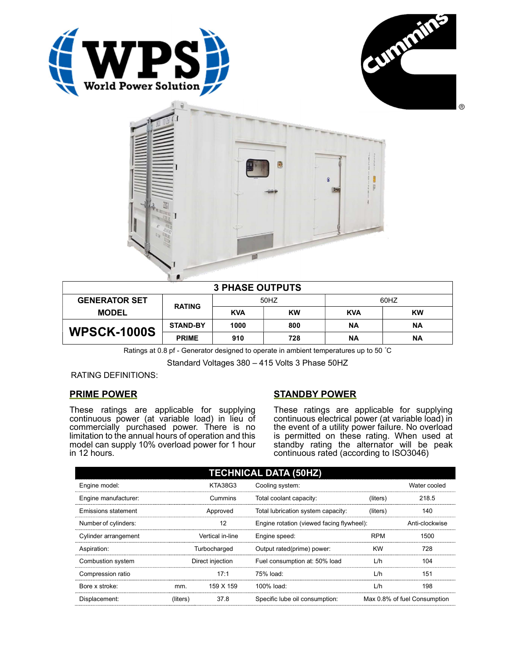





| <b>3 PHASE OUTPUTS</b> |                 |            |     |            |           |  |  |
|------------------------|-----------------|------------|-----|------------|-----------|--|--|
| <b>GENERATOR SET</b>   |                 | 50HZ       |     | 60HZ       |           |  |  |
| <b>MODEL</b>           | <b>RATING</b>   | <b>KVA</b> | KW  | <b>KVA</b> | <b>KW</b> |  |  |
| <b>WPSCK-1000S</b>     | <b>STAND-BY</b> | 1000       | 800 | ΝA         | ΝA        |  |  |
|                        | <b>PRIME</b>    | 910        | 728 | <b>NA</b>  | ΝA        |  |  |

Ratings at 0.8 pf - Generator designed to operate in ambient temperatures up to 50 °C

Standard Voltages 380 – 415 Volts 3 Phase 50HZ

RATING DEFINITIONS:

## PRIME POWER

These ratings are applicable for supplying continuous power (at variable load) in lieu of commercially purchased power. There is no limitation to the annual hours of operation and this model can supply 10% overload power for 1 hour in 12 hours.

## STANDBY POWER

These ratings are applicable for supplying continuous electrical power (at variable load) in the event of a utility power failure. No overload is permitted on these rating. When used at standby rating the alternator will be peak continuous rated (according to ISO3046)

| <b>TECHNICAL DATA (50HZ)</b> |                  |                  |                                           |            |                              |  |
|------------------------------|------------------|------------------|-------------------------------------------|------------|------------------------------|--|
| Engine model:                |                  | <b>KTA38G3</b>   | Cooling system:                           |            | Water cooled                 |  |
| Engine manufacturer:         |                  | Cummins          | Total coolant capacity:                   | (liters)   | 218.5                        |  |
| Emissions statement          | Approved         |                  | Total lubrication system capacity:        | (liters)   | 140                          |  |
| Number of cylinders:         | 12               |                  | Engine rotation (viewed facing flywheel): |            | Anti-clockwise               |  |
| Cylinder arrangement         |                  | Vertical in-line | Engine speed:                             | <b>RPM</b> | 1500                         |  |
| Aspiration:                  | Turbocharged     |                  | Output rated(prime) power:                | <b>KW</b>  | 728                          |  |
| Combustion system            | Direct injection |                  | Fuel consumption at: 50% load             | L/h        | 104                          |  |
| Compression ratio            |                  | 17:1             | 75% load:                                 | L/h        | 151                          |  |
| Bore x stroke:               | mm.              | 159 X 159        | 100% load:                                | L/h        | 198                          |  |
| Displacement:                | (liters)         | 37.8             | Specific lube oil consumption:            |            | Max 0.8% of fuel Consumption |  |